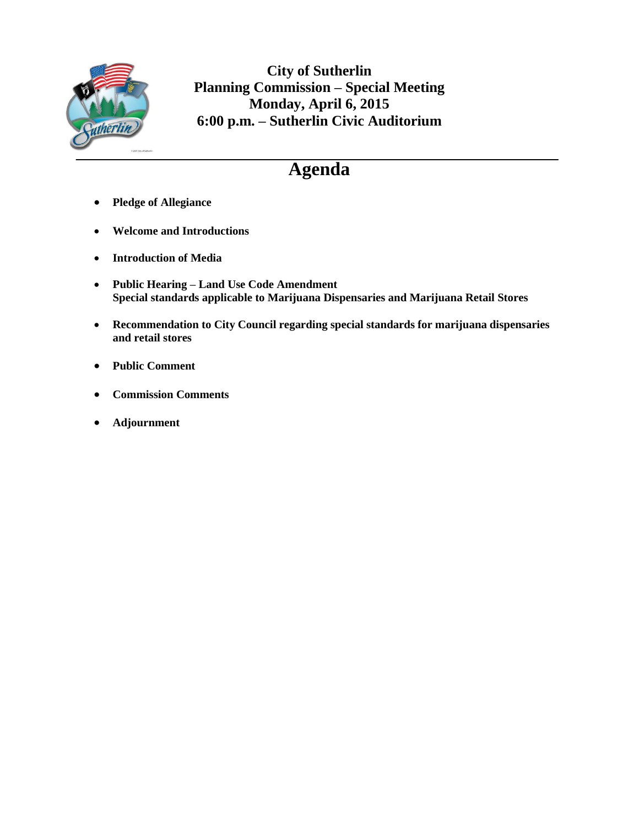

**City of Sutherlin Planning Commission – Special Meeting Monday, April 6, 2015 6:00 p.m. – Sutherlin Civic Auditorium**

### **Agenda**

- **Pledge of Allegiance**
- **Welcome and Introductions**
- **Introduction of Media**
- **Public Hearing – Land Use Code Amendment Special standards applicable to Marijuana Dispensaries and Marijuana Retail Stores**
- **Recommendation to City Council regarding special standards for marijuana dispensaries and retail stores**
- **Public Comment**
- **Commission Comments**
- **Adjournment**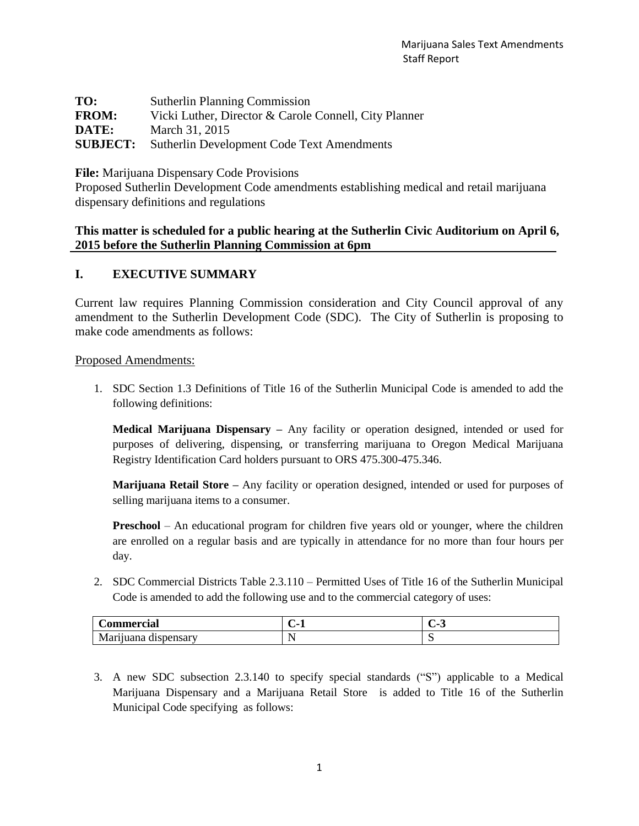| TO:             | <b>Sutherlin Planning Commission</b>                  |
|-----------------|-------------------------------------------------------|
| <b>FROM:</b>    | Vicki Luther, Director & Carole Connell, City Planner |
| DATE:           | March 31, 2015                                        |
| <b>SUBJECT:</b> | <b>Sutherlin Development Code Text Amendments</b>     |

**File:** Marijuana Dispensary Code Provisions

Proposed Sutherlin Development Code amendments establishing medical and retail marijuana dispensary definitions and regulations

#### **This matter is scheduled for a public hearing at the Sutherlin Civic Auditorium on April 6, 2015 before the Sutherlin Planning Commission at 6pm**

#### **I. EXECUTIVE SUMMARY**

Current law requires Planning Commission consideration and City Council approval of any amendment to the Sutherlin Development Code (SDC). The City of Sutherlin is proposing to make code amendments as follows:

Proposed Amendments:

1. SDC Section 1.3 Definitions of Title 16 of the Sutherlin Municipal Code is amended to add the following definitions:

**Medical Marijuana Dispensary –** Any facility or operation designed, intended or used for purposes of delivering, dispensing, or transferring marijuana to Oregon Medical Marijuana Registry Identification Card holders pursuant to ORS 475.300-475.346.

**Marijuana Retail Store –** Any facility or operation designed, intended or used for purposes of selling marijuana items to a consumer.

**Preschool** – An educational program for children five years old or younger, where the children are enrolled on a regular basis and are typically in attendance for no more than four hours per day.

2. SDC Commercial Districts Table 2.3.110 – Permitted Uses of Title 16 of the Sutherlin Municipal Code is amended to add the following use and to the commercial category of uses:

| <b>Commercial</b>                                            | $\blacksquare$<br>л.     | $\sim$<br>-<br>. .<br>ັ |
|--------------------------------------------------------------|--------------------------|-------------------------|
| $\ddot{\phantom{a}}$<br>dispensary<br>r11uana<br><b>Mali</b> | $\overline{\phantom{a}}$ | ້                       |

3. A new SDC subsection 2.3.140 to specify special standards ("S") applicable to a Medical Marijuana Dispensary and a Marijuana Retail Store is added to Title 16 of the Sutherlin Municipal Code specifying as follows: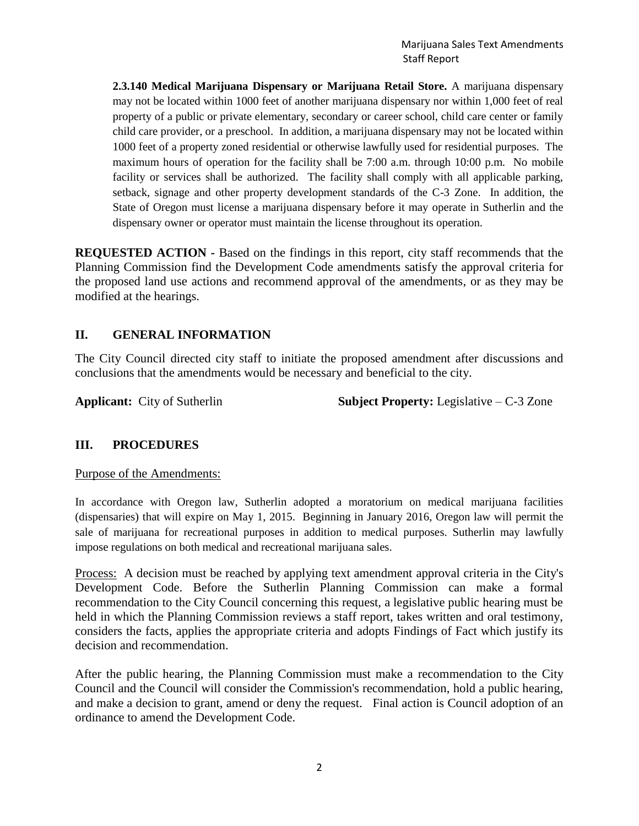**2.3.140 Medical Marijuana Dispensary or Marijuana Retail Store.** A marijuana dispensary may not be located within 1000 feet of another marijuana dispensary nor within 1,000 feet of real property of a public or private elementary, secondary or career school, child care center or family child care provider, or a preschool. In addition, a marijuana dispensary may not be located within 1000 feet of a property zoned residential or otherwise lawfully used for residential purposes. The maximum hours of operation for the facility shall be 7:00 a.m. through 10:00 p.m. No mobile facility or services shall be authorized. The facility shall comply with all applicable parking, setback, signage and other property development standards of the C-3 Zone. In addition, the State of Oregon must license a marijuana dispensary before it may operate in Sutherlin and the dispensary owner or operator must maintain the license throughout its operation.

**REQUESTED ACTION -** Based on the findings in this report, city staff recommends that the Planning Commission find the Development Code amendments satisfy the approval criteria for the proposed land use actions and recommend approval of the amendments, or as they may be modified at the hearings.

#### **II. GENERAL INFORMATION**

The City Council directed city staff to initiate the proposed amendment after discussions and conclusions that the amendments would be necessary and beneficial to the city.

**Applicant:** City of Sutherlin **Subject Property:** Legislative – C-3 Zone

#### **III. PROCEDURES**

#### Purpose of the Amendments:

In accordance with Oregon law, Sutherlin adopted a moratorium on medical marijuana facilities (dispensaries) that will expire on May 1, 2015. Beginning in January 2016, Oregon law will permit the sale of marijuana for recreational purposes in addition to medical purposes. Sutherlin may lawfully impose regulations on both medical and recreational marijuana sales.

Process: A decision must be reached by applying text amendment approval criteria in the City's Development Code. Before the Sutherlin Planning Commission can make a formal recommendation to the City Council concerning this request, a legislative public hearing must be held in which the Planning Commission reviews a staff report, takes written and oral testimony, considers the facts, applies the appropriate criteria and adopts Findings of Fact which justify its decision and recommendation.

After the public hearing, the Planning Commission must make a recommendation to the City Council and the Council will consider the Commission's recommendation, hold a public hearing, and make a decision to grant, amend or deny the request. Final action is Council adoption of an ordinance to amend the Development Code.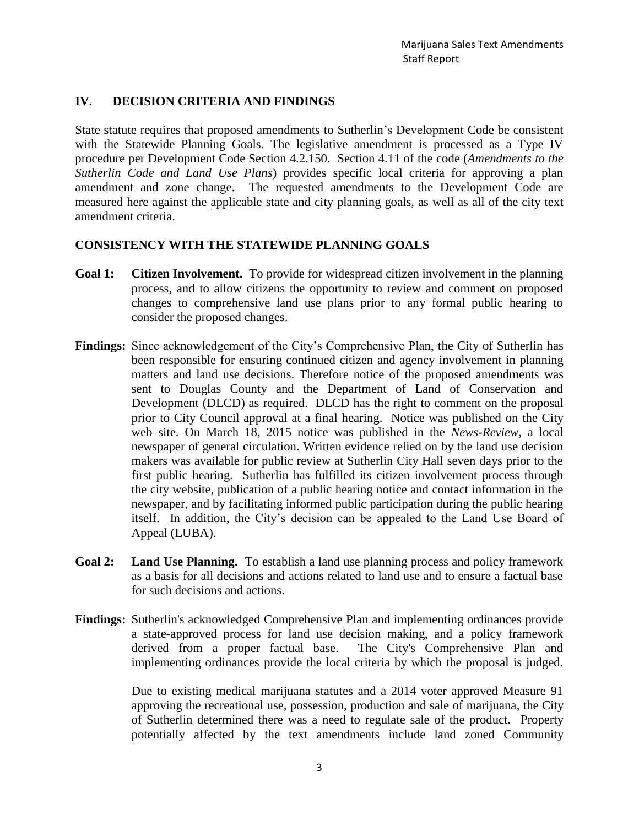#### **IV. DECISION CRITERIA AND FINDINGS**

State statute requires that proposed amendments to Sutherlin's Development Code be consistent with the Statewide Planning Goals. The legislative amendment is processed as a Type IV procedure per Development Code Section 4.2.150. Section 4.11 of the code (*Amendments to the Sutherlin Code and Land Use Plans*) provides specific local criteria for approving a plan amendment and zone change. The requested amendments to the Development Code are measured here against the applicable state and city planning goals, as well as all of the city text amendment criteria.

#### **CONSISTENCY WITH THE STATEWIDE PLANNING GOALS**

- **Goal 1: Citizen Involvement.** To provide for widespread citizen involvement in the planning process, and to allow citizens the opportunity to review and comment on proposed changes to comprehensive land use plans prior to any formal public hearing to consider the proposed changes.
- **Findings:** Since acknowledgement of the City's Comprehensive Plan, the City of Sutherlin has been responsible for ensuring continued citizen and agency involvement in planning matters and land use decisions. Therefore notice of the proposed amendments was sent to Douglas County and the Department of Land of Conservation and Development (DLCD) as required. DLCD has the right to comment on the proposal prior to City Council approval at a final hearing. Notice was published on the City web site. On March 18, 2015 notice was published in the *News-Review*, a local newspaper of general circulation. Written evidence relied on by the land use decision makers was available for public review at Sutherlin City Hall seven days prior to the first public hearing. Sutherlin has fulfilled its citizen involvement process through the city website, publication of a public hearing notice and contact information in the newspaper, and by facilitating informed public participation during the public hearing itself. In addition, the City's decision can be appealed to the Land Use Board of Appeal (LUBA).
- **Goal 2: Land Use Planning.** To establish a land use planning process and policy framework as a basis for all decisions and actions related to land use and to ensure a factual base for such decisions and actions.
- **Findings:** Sutherlin's acknowledged Comprehensive Plan and implementing ordinances provide a state-approved process for land use decision making, and a policy framework derived from a proper factual base. The City's Comprehensive Plan and implementing ordinances provide the local criteria by which the proposal is judged.

Due to existing medical marijuana statutes and a 2014 voter approved Measure 91 approving the recreational use, possession, production and sale of marijuana, the City of Sutherlin determined there was a need to regulate sale of the product. Property potentially affected by the text amendments include land zoned Community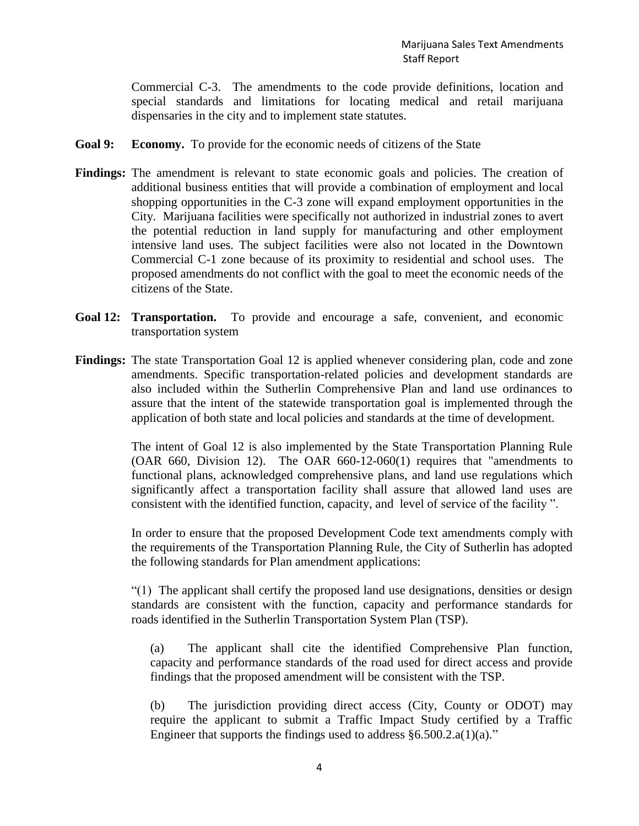Commercial C-3. The amendments to the code provide definitions, location and special standards and limitations for locating medical and retail marijuana dispensaries in the city and to implement state statutes.

- **Goal 9: Economy.** To provide for the economic needs of citizens of the State
- **Findings:** The amendment is relevant to state economic goals and policies. The creation of additional business entities that will provide a combination of employment and local shopping opportunities in the C-3 zone will expand employment opportunities in the City. Marijuana facilities were specifically not authorized in industrial zones to avert the potential reduction in land supply for manufacturing and other employment intensive land uses. The subject facilities were also not located in the Downtown Commercial C-1 zone because of its proximity to residential and school uses. The proposed amendments do not conflict with the goal to meet the economic needs of the citizens of the State.
- **Goal 12: Transportation.** To provide and encourage a safe, convenient, and economic transportation system
- **Findings:** The state Transportation Goal 12 is applied whenever considering plan, code and zone amendments. Specific transportation-related policies and development standards are also included within the Sutherlin Comprehensive Plan and land use ordinances to assure that the intent of the statewide transportation goal is implemented through the application of both state and local policies and standards at the time of development.

The intent of Goal 12 is also implemented by the State Transportation Planning Rule (OAR 660, Division 12). The OAR 660-12-060(1) requires that "amendments to functional plans, acknowledged comprehensive plans, and land use regulations which significantly affect a transportation facility shall assure that allowed land uses are consistent with the identified function, capacity, and level of service of the facility ".

In order to ensure that the proposed Development Code text amendments comply with the requirements of the Transportation Planning Rule, the City of Sutherlin has adopted the following standards for Plan amendment applications:

"(1) The applicant shall certify the proposed land use designations, densities or design standards are consistent with the function, capacity and performance standards for roads identified in the Sutherlin Transportation System Plan (TSP).

(a) The applicant shall cite the identified Comprehensive Plan function, capacity and performance standards of the road used for direct access and provide findings that the proposed amendment will be consistent with the TSP.

(b) The jurisdiction providing direct access (City, County or ODOT) may require the applicant to submit a Traffic Impact Study certified by a Traffic Engineer that supports the findings used to address  $§6.500.2.a(1)(a)$ ."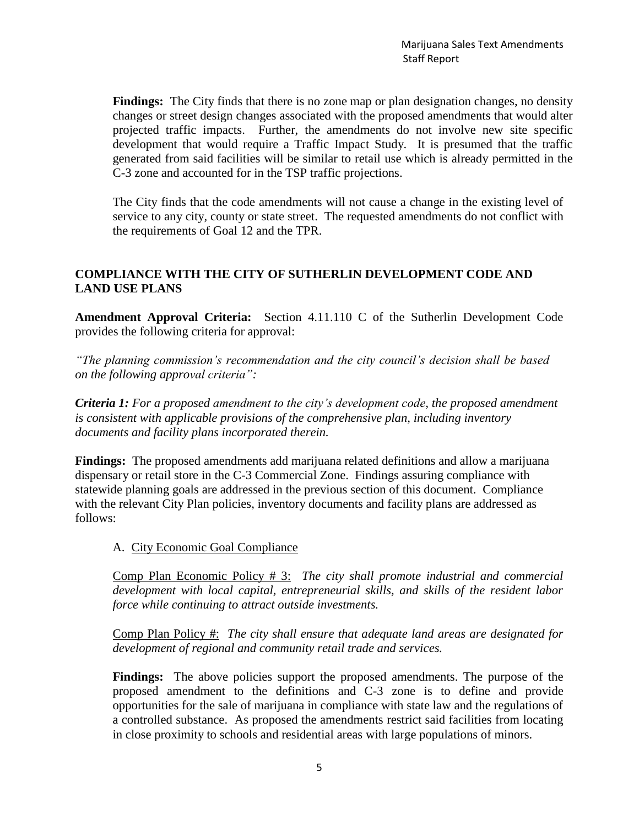**Findings:** The City finds that there is no zone map or plan designation changes, no density changes or street design changes associated with the proposed amendments that would alter projected traffic impacts. Further, the amendments do not involve new site specific development that would require a Traffic Impact Study. It is presumed that the traffic generated from said facilities will be similar to retail use which is already permitted in the C-3 zone and accounted for in the TSP traffic projections.

The City finds that the code amendments will not cause a change in the existing level of service to any city, county or state street. The requested amendments do not conflict with the requirements of Goal 12 and the TPR.

#### **COMPLIANCE WITH THE CITY OF SUTHERLIN DEVELOPMENT CODE AND LAND USE PLANS**

**Amendment Approval Criteria:** Section 4.11.110 C of the Sutherlin Development Code provides the following criteria for approval:

*"The planning commission's recommendation and the city council's decision shall be based on the following approval criteria":*

*Criteria 1: For a proposed amendment to the city's development code, the proposed amendment is consistent with applicable provisions of the comprehensive plan, including inventory documents and facility plans incorporated therein.*

**Findings:** The proposed amendments add marijuana related definitions and allow a marijuana dispensary or retail store in the C-3 Commercial Zone. Findings assuring compliance with statewide planning goals are addressed in the previous section of this document. Compliance with the relevant City Plan policies, inventory documents and facility plans are addressed as follows:

A. City Economic Goal Compliance

Comp Plan Economic Policy # 3: *The city shall promote industrial and commercial development with local capital, entrepreneurial skills, and skills of the resident labor force while continuing to attract outside investments.*

Comp Plan Policy #: *The city shall ensure that adequate land areas are designated for development of regional and community retail trade and services.*

**Findings:** The above policies support the proposed amendments. The purpose of the proposed amendment to the definitions and C-3 zone is to define and provide opportunities for the sale of marijuana in compliance with state law and the regulations of a controlled substance. As proposed the amendments restrict said facilities from locating in close proximity to schools and residential areas with large populations of minors.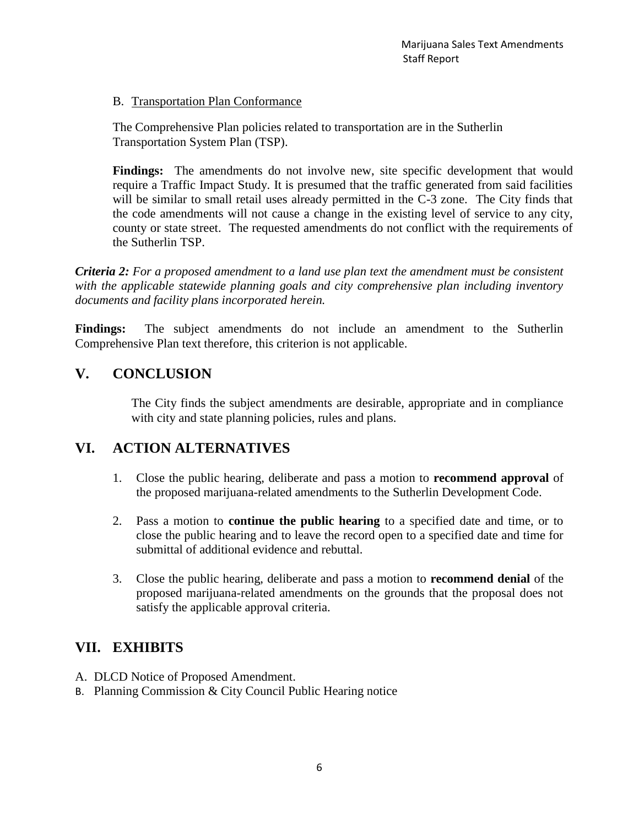B. Transportation Plan Conformance

The Comprehensive Plan policies related to transportation are in the Sutherlin Transportation System Plan (TSP).

Findings: The amendments do not involve new, site specific development that would require a Traffic Impact Study. It is presumed that the traffic generated from said facilities will be similar to small retail uses already permitted in the C-3 zone. The City finds that the code amendments will not cause a change in the existing level of service to any city, county or state street. The requested amendments do not conflict with the requirements of the Sutherlin TSP.

*Criteria 2: For a proposed amendment to a land use plan text the amendment must be consistent with the applicable statewide planning goals and city comprehensive plan including inventory documents and facility plans incorporated herein.*

Findings: The subject amendments do not include an amendment to the Sutherlin Comprehensive Plan text therefore, this criterion is not applicable.

#### **V. CONCLUSION**

The City finds the subject amendments are desirable, appropriate and in compliance with city and state planning policies, rules and plans.

#### **VI. ACTION ALTERNATIVES**

- 1. Close the public hearing, deliberate and pass a motion to **recommend approval** of the proposed marijuana-related amendments to the Sutherlin Development Code.
- 2. Pass a motion to **continue the public hearing** to a specified date and time, or to close the public hearing and to leave the record open to a specified date and time for submittal of additional evidence and rebuttal.
- 3. Close the public hearing, deliberate and pass a motion to **recommend denial** of the proposed marijuana-related amendments on the grounds that the proposal does not satisfy the applicable approval criteria.

#### **VII. EXHIBITS**

- A. DLCD Notice of Proposed Amendment.
- B. Planning Commission & City Council Public Hearing notice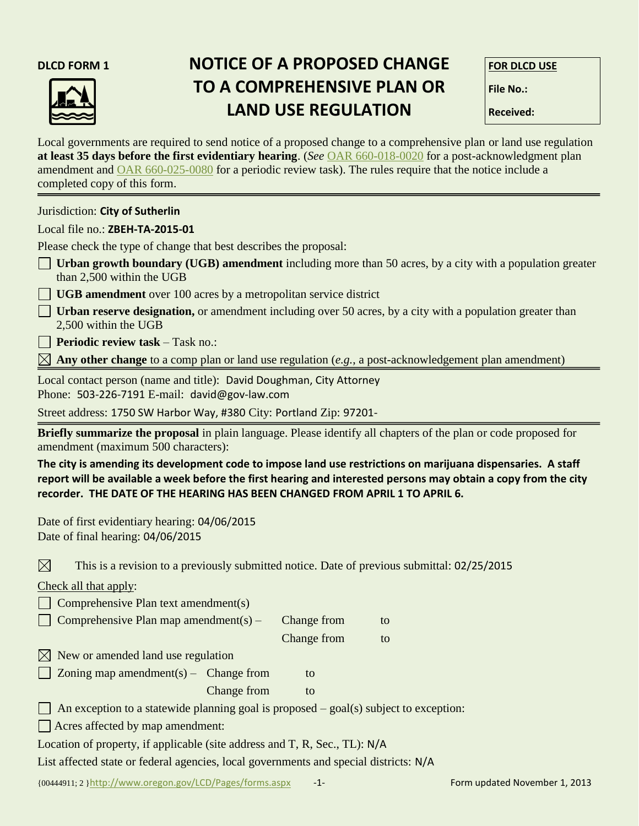

#### **DLCD FORM 1 NOTICE OF A PROPOSED CHANGE FOR DLCD USE TO A COMPREHENSIVE PLAN OR File No.: LAND USE REGULATION** Received:

Local governments are required to send notice of a proposed change to a comprehensive plan or land use regulation **at least 35 days before the first evidentiary hearing**. (*See* [OAR 660-018-0020](http://arcweb.sos.state.or.us/pages/rules/oars_600/oar_660/660_018.html) for a post-acknowledgment plan amendment and [OAR 660-025-0080](http://arcweb.sos.state.or.us/pages/rules/oars_600/oar_660/660_025.html) for a periodic review task). The rules require that the notice include a completed copy of this form.

Jurisdiction: **City of Sutherlin**

#### Local file no.: **ZBEH-TA-2015-01**

Please check the type of change that best describes the proposal:

- **Urban growth boundary (UGB) amendment** including more than 50 acres, by a city with a population greater than 2,500 within the UGB
- **UGB amendment** over 100 acres by a metropolitan service district
- **Urban reserve designation,** or amendment including over 50 acres, by a city with a population greater than 2,500 within the UGB

**Periodic review task** – Task no.:

 $\boxtimes$  **Any other change** to a comp plan or land use regulation (*e.g.*, a post-acknowledgement plan amendment)

Local contact person (name and title): David Doughman, City Attorney Phone: 503-226-7191 E-mail: david@gov-law.com

Street address: 1750 SW Harbor Way, #380 City: Portland Zip: 97201-

**Briefly summarize the proposal** in plain language. Please identify all chapters of the plan or code proposed for amendment (maximum 500 characters):

**The city is amending its development code to impose land use restrictions on marijuana dispensaries. A staff report will be available a week before the first hearing and interested persons may obtain a copy from the city recorder. THE DATE OF THE HEARING HAS BEEN CHANGED FROM APRIL 1 TO APRIL 6.**

Date of first evidentiary hearing: 04/06/2015 Date of final hearing: 04/06/2015

 $\boxtimes$ This is a revision to a previously submitted notice. Date of previous submittal: 02/25/2015

Check all that apply:

| $\Box$ Comprehensive Plan text amendment(s)                                                  |             |             |    |  |  |
|----------------------------------------------------------------------------------------------|-------------|-------------|----|--|--|
| Comprehensive Plan map amendment(s) –                                                        |             | Change from | to |  |  |
|                                                                                              |             | Change from | to |  |  |
| $\boxtimes$ New or amended land use regulation                                               |             |             |    |  |  |
| $\Box$ Zoning map amendment(s) – Change from                                                 |             | to          |    |  |  |
|                                                                                              | Change from | to          |    |  |  |
| $\Box$ An exception to a statewide planning goal is proposed – goal(s) subject to exception: |             |             |    |  |  |
| $\Box$ Acres affected by map amendment:                                                      |             |             |    |  |  |
| Location of property, if applicable (site address and T, R, Sec., TL): N/A                   |             |             |    |  |  |

List affected state or federal agencies, local governments and special districts: N/A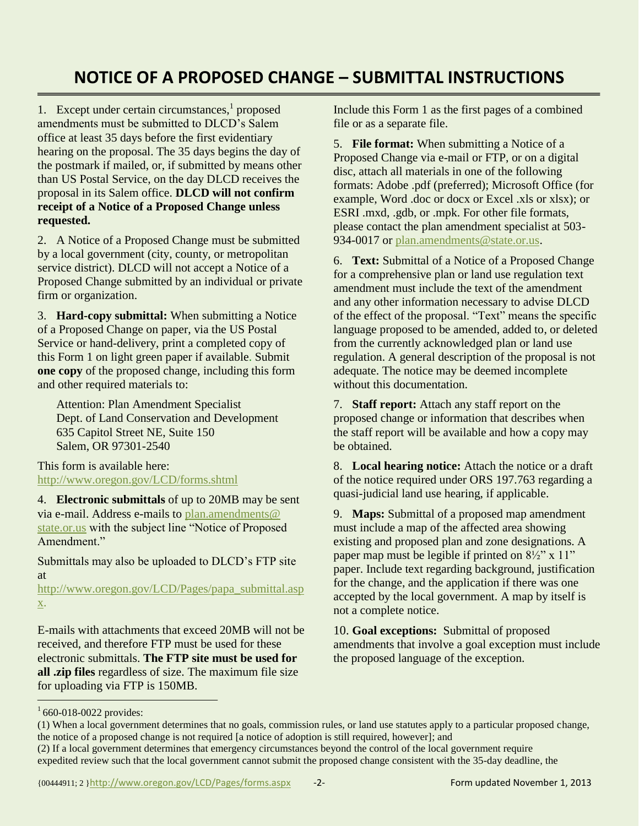#### **NOTICE OF A PROPOSED CHANGE – SUBMITTAL INSTRUCTIONS**

1. Except under certain circumstances,<sup>1</sup> proposed amendments must be submitted to DLCD's Salem office at least 35 days before the first evidentiary hearing on the proposal. The 35 days begins the day of the postmark if mailed, or, if submitted by means other than US Postal Service, on the day DLCD receives the proposal in its Salem office. **DLCD will not confirm receipt of a Notice of a Proposed Change unless requested.**

2. A Notice of a Proposed Change must be submitted by a local government (city, county, or metropolitan service district). DLCD will not accept a Notice of a Proposed Change submitted by an individual or private firm or organization.

3. **Hard-copy submittal:** When submitting a Notice of a Proposed Change on paper, via the US Postal Service or hand-delivery, print a completed copy of this Form 1 on light green paper if available. Submit **one copy** of the proposed change, including this form and other required materials to:

Attention: Plan Amendment Specialist Dept. of Land Conservation and Development 635 Capitol Street NE, Suite 150 Salem, OR 97301-2540

This form is available here: <http://www.oregon.gov/LCD/forms.shtml>

4. **Electronic submittals** of up to 20MB may be sent via e-mail. Address e-mails to [plan.amendments@](mailto:plan.amendments@state.or.us)  [state.or.us](mailto:plan.amendments@state.or.us) with the subject line "Notice of Proposed Amendment."

Submittals may also be uploaded to DLCD's FTP site at

[http://www.oregon.gov/LCD/Pages/papa\\_submittal.asp](http://www.oregon.gov/LCD/Pages/papa_submittal.aspx) [x.](http://www.oregon.gov/LCD/Pages/papa_submittal.aspx)

E-mails with attachments that exceed 20MB will not be received, and therefore FTP must be used for these electronic submittals. **The FTP site must be used for all .zip files** regardless of size. The maximum file size for uploading via FTP is 150MB.

Include this Form 1 as the first pages of a combined file or as a separate file.

5. **File format:** When submitting a Notice of a Proposed Change via e-mail or FTP, or on a digital disc, attach all materials in one of the following formats: Adobe .pdf (preferred); Microsoft Office (for example, Word .doc or docx or Excel .xls or xlsx); or ESRI .mxd, .gdb, or .mpk. For other file formats, please contact the plan amendment specialist at 503 934-0017 or [plan.amendments@state.or.us.](mailto:plan.amendments@state.or.us)

6. **Text:** Submittal of a Notice of a Proposed Change for a comprehensive plan or land use regulation text amendment must include the text of the amendment and any other information necessary to advise DLCD of the effect of the proposal. "Text" means the specific language proposed to be amended, added to, or deleted from the currently acknowledged plan or land use regulation. A general description of the proposal is not adequate. The notice may be deemed incomplete without this documentation.

7. **Staff report:** Attach any staff report on the proposed change or information that describes when the staff report will be available and how a copy may be obtained.

8. **Local hearing notice:** Attach the notice or a draft of the notice required under ORS 197.763 regarding a quasi-judicial land use hearing, if applicable.

9. **Maps:** Submittal of a proposed map amendment must include a map of the affected area showing existing and proposed plan and zone designations. A paper map must be legible if printed on  $8\frac{1}{2}$ " x 11" paper. Include text regarding background, justification for the change, and the application if there was one accepted by the local government. A map by itself is not a complete notice.

10. **Goal exceptions:** Submittal of proposed amendments that involve a goal exception must include the proposed language of the exception.

 $1660 - 018 - 0022$  provides:

<sup>(1)</sup> When a local government determines that no goals, commission rules, or land use statutes apply to a particular proposed change, the notice of a proposed change is not required [a notice of adoption is still required, however]; and

<sup>(2)</sup> If a local government determines that emergency circumstances beyond the control of the local government require expedited review such that the local government cannot submit the proposed change consistent with the 35-day deadline, the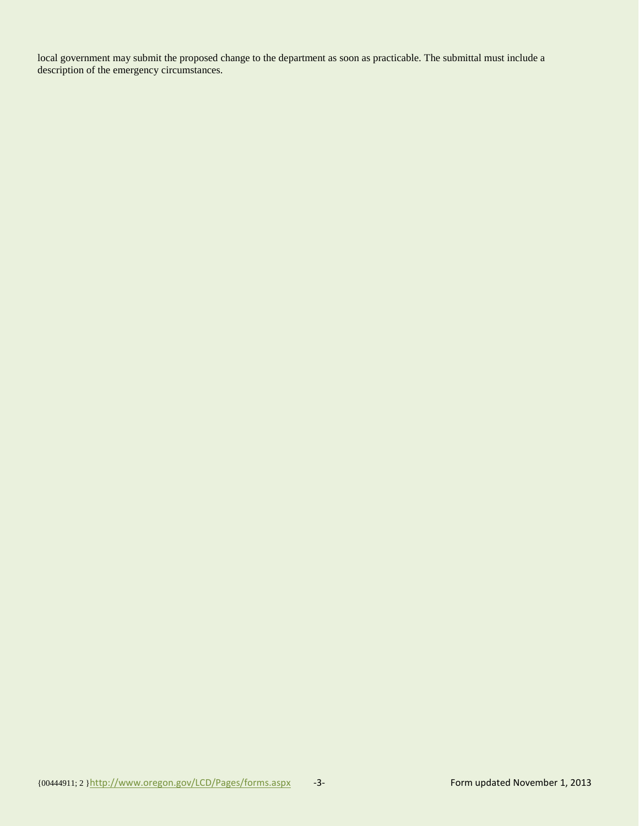local government may submit the proposed change to the department as soon as practicable. The submittal must include a description of the emergency circumstances.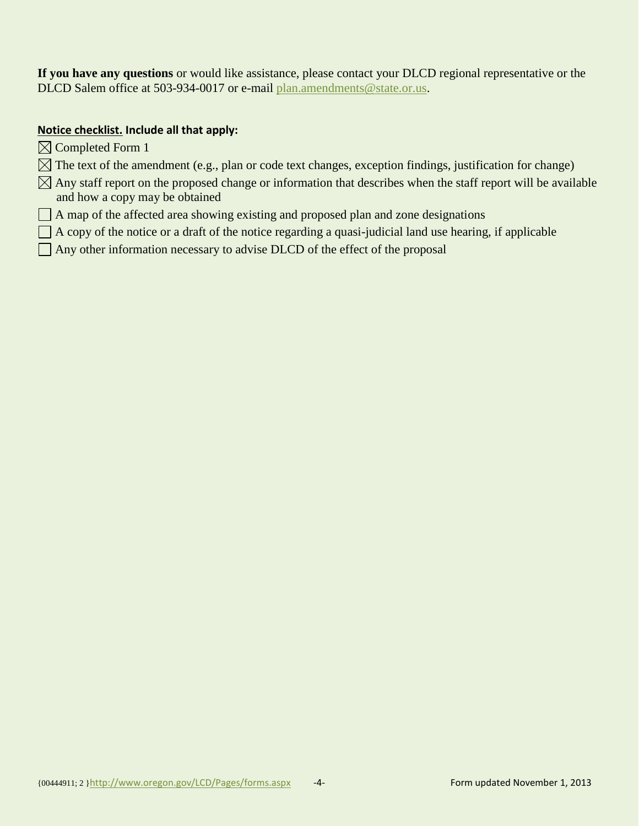**If you have any questions** or would like assistance, please contact your DLCD regional representative or the DLCD Salem office at 503-934-0017 or e-mail [plan.amendments@state.or.us.](mailto:plan.amendments@state.or.us)

#### **Notice checklist. Include all that apply:**

- $\boxtimes$  Completed Form 1
- $\boxtimes$  The text of the amendment (e.g., plan or code text changes, exception findings, justification for change)
- $\boxtimes$  Any staff report on the proposed change or information that describes when the staff report will be available and how a copy may be obtained
- $\Box$  A map of the affected area showing existing and proposed plan and zone designations
- $\Box$  A copy of the notice or a draft of the notice regarding a quasi-judicial land use hearing, if applicable
- $\Box$  Any other information necessary to advise DLCD of the effect of the proposal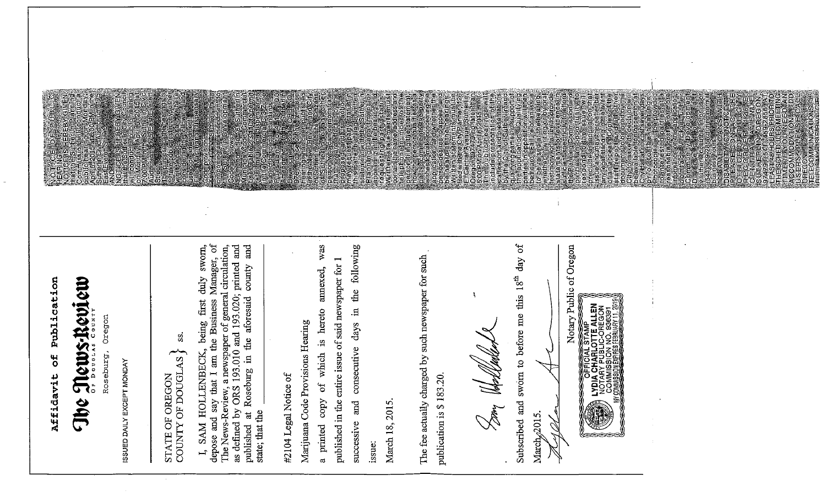Affidavit of Publication

# The Mews-Review

cregon Roseburg,

ES ROTE

ISSUED DAILY EXCEPT MONDAY

## SIALE OF OREGON STATE OF OREGON

S.

pe e a ave

 $\sigma f$ The News-Review, a newspaper of general circulation, as defined by ORS 193.010 and 193.020; printed and published at Roseburg in the aforesaid county and I, SAM HOLLENBECK, being first duly sworn, depose and say that I am the Business Manager, state; that the

#2104 Legal Notice of

Marijuana Code Provisions Hearing

copy of which is hereto annexed, was a printed

successive and consecutive days in the following published in the entire issue of said newspaper for 1 issue:

March 18, 2015

The fee actually charged by such newspaper for such publication is \$183.20.

Dooy (Holledak

Subscribed and sworn to before me this 18<sup>th</sup> day of

pualitying parties in support<br>parties in conconce of the part<br>parties in coposition will<br>be head assets the of an<br>coposition assets in the mea

p p ubic chearing<br>1009 presentation<br>11 reportancesen<br>11 p o IV of Suther

March<sub>s</sub>/2015. Ž

Notary Public of Oregon

o E O T 0 5 5 0<br>E O O T D O O<br>F T E O F V D P

 $\ddot{i}$ 

on electric<br>Procedure<br>Pedeutric

ECOMMUNICATIO<br>Simarassection

 $22021$ 

**ILOTTE ALLEN**<br>BLIC-OREGON LYDIA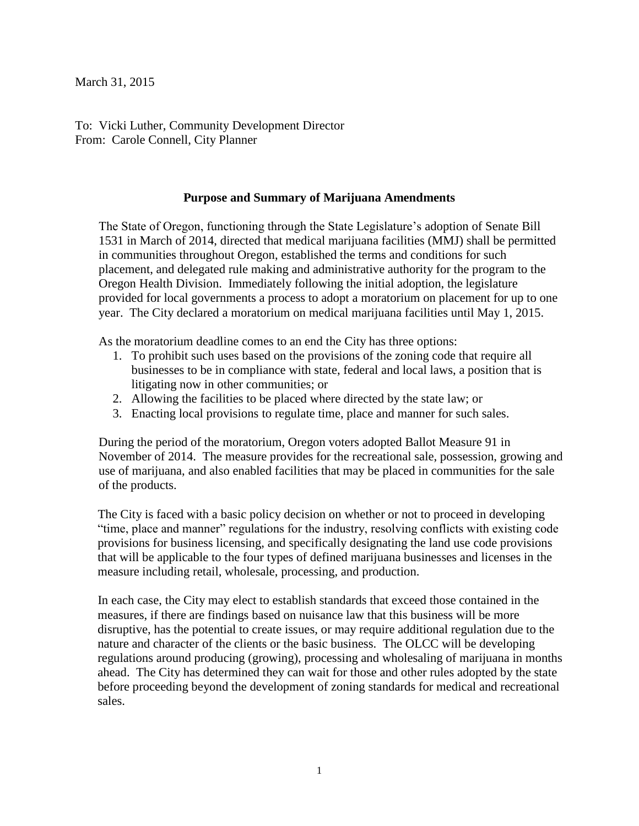March 31, 2015

To: Vicki Luther, Community Development Director From: Carole Connell, City Planner

#### **Purpose and Summary of Marijuana Amendments**

The State of Oregon, functioning through the State Legislature's adoption of Senate Bill 1531 in March of 2014, directed that medical marijuana facilities (MMJ) shall be permitted in communities throughout Oregon, established the terms and conditions for such placement, and delegated rule making and administrative authority for the program to the Oregon Health Division. Immediately following the initial adoption, the legislature provided for local governments a process to adopt a moratorium on placement for up to one year. The City declared a moratorium on medical marijuana facilities until May 1, 2015.

As the moratorium deadline comes to an end the City has three options:

- 1. To prohibit such uses based on the provisions of the zoning code that require all businesses to be in compliance with state, federal and local laws, a position that is litigating now in other communities; or
- 2. Allowing the facilities to be placed where directed by the state law; or
- 3. Enacting local provisions to regulate time, place and manner for such sales.

During the period of the moratorium, Oregon voters adopted Ballot Measure 91 in November of 2014. The measure provides for the recreational sale, possession, growing and use of marijuana, and also enabled facilities that may be placed in communities for the sale of the products.

The City is faced with a basic policy decision on whether or not to proceed in developing "time, place and manner" regulations for the industry, resolving conflicts with existing code provisions for business licensing, and specifically designating the land use code provisions that will be applicable to the four types of defined marijuana businesses and licenses in the measure including retail, wholesale, processing, and production.

In each case, the City may elect to establish standards that exceed those contained in the measures, if there are findings based on nuisance law that this business will be more disruptive, has the potential to create issues, or may require additional regulation due to the nature and character of the clients or the basic business. The OLCC will be developing regulations around producing (growing), processing and wholesaling of marijuana in months ahead. The City has determined they can wait for those and other rules adopted by the state before proceeding beyond the development of zoning standards for medical and recreational sales.